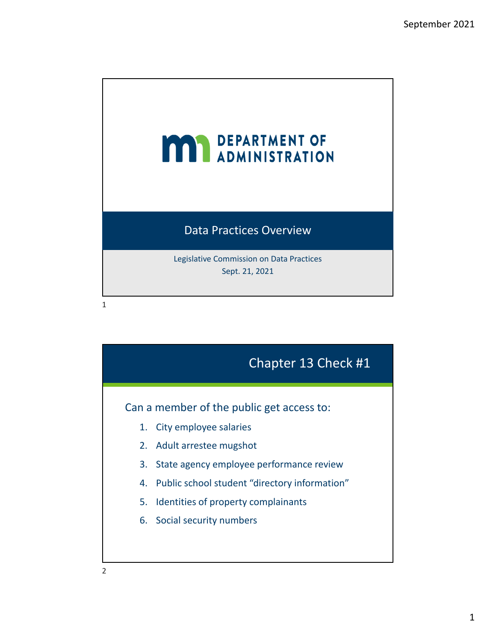

## Can a member of the public get access to: Chapter 13 Check #1 1. City employee salaries 2. Adult arrestee mugshot 3. State agency employee performance review 4. Public school student "directory information" 5. Identities of property complainants 6. Social security numbers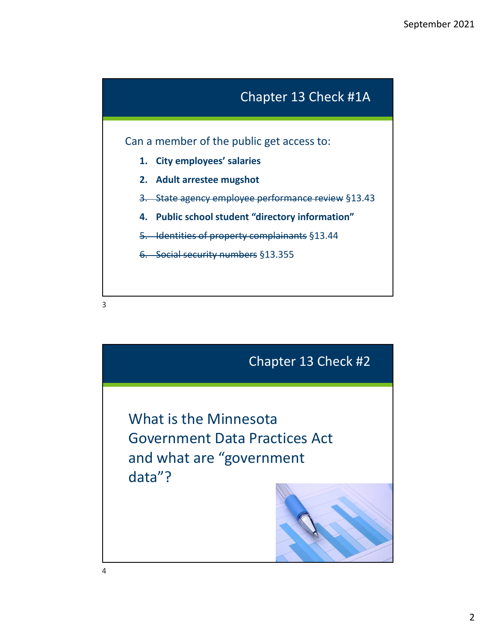

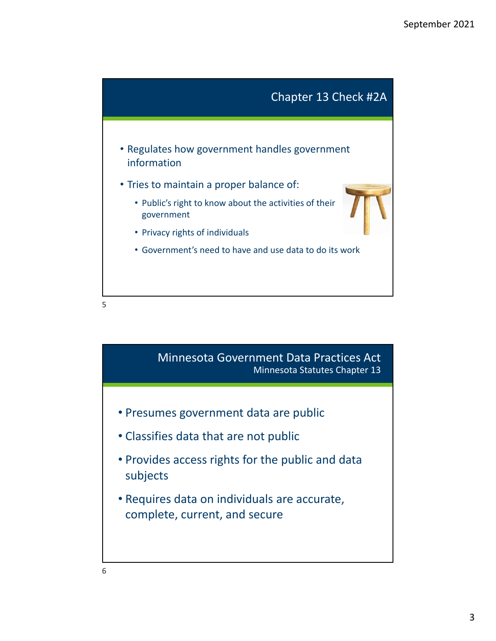

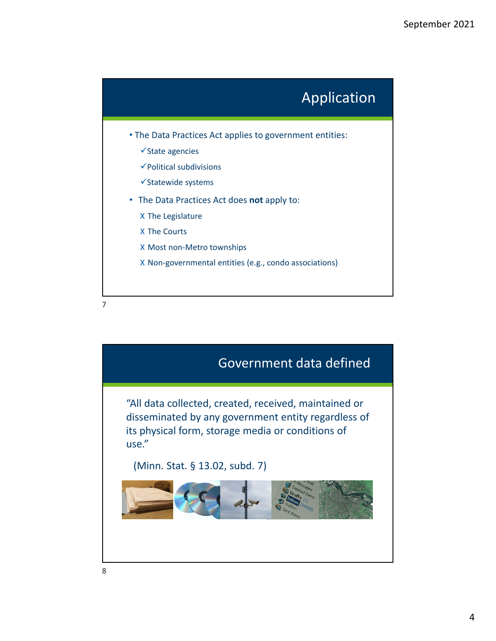

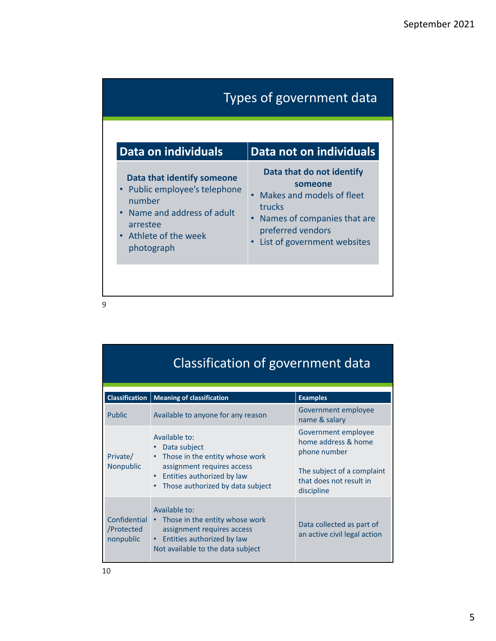| Types of government data                                                                                                                                                      |                                                                                                                                                                |  |
|-------------------------------------------------------------------------------------------------------------------------------------------------------------------------------|----------------------------------------------------------------------------------------------------------------------------------------------------------------|--|
| Data on individuals                                                                                                                                                           | Data not on individuals                                                                                                                                        |  |
| Data that identify someone<br>Public employee's telephone<br>$\bullet$<br>number<br>Name and address of adult<br>$\bullet$<br>arrestee<br>• Athlete of the week<br>photograph | Data that do not identify<br>someone<br>Makes and models of fleet<br>trucks<br>Names of companies that are<br>preferred vendors<br>List of government websites |  |

| Classification of government data       |                                                                                                                                                                                           |                                                                                                                                   |  |  |
|-----------------------------------------|-------------------------------------------------------------------------------------------------------------------------------------------------------------------------------------------|-----------------------------------------------------------------------------------------------------------------------------------|--|--|
| <b>Classification</b>                   | <b>Meaning of classification</b>                                                                                                                                                          | <b>Examples</b>                                                                                                                   |  |  |
| <b>Public</b>                           | Available to anyone for any reason                                                                                                                                                        | Government employee<br>name & salary                                                                                              |  |  |
| Private/<br>Nonpublic                   | Available to:<br>Data subject<br>Those in the entity whose work<br>$\bullet$<br>assignment requires access<br>Entities authorized by law<br>Those authorized by data subject<br>$\bullet$ | Government employee<br>home address & home<br>phone number<br>The subject of a complaint<br>that does not result in<br>discipline |  |  |
| Confidential<br>/Protected<br>nonpublic | Available to:<br>Those in the entity whose work<br>$\bullet$ .<br>assignment requires access<br>Entities authorized by law<br>Not available to the data subject                           | Data collected as part of<br>an active civil legal action                                                                         |  |  |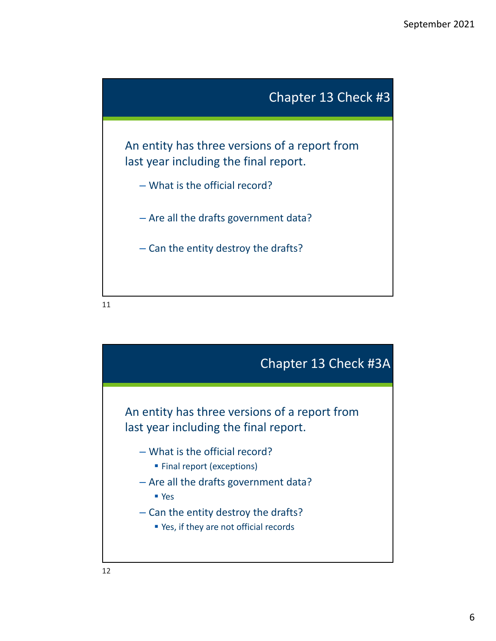

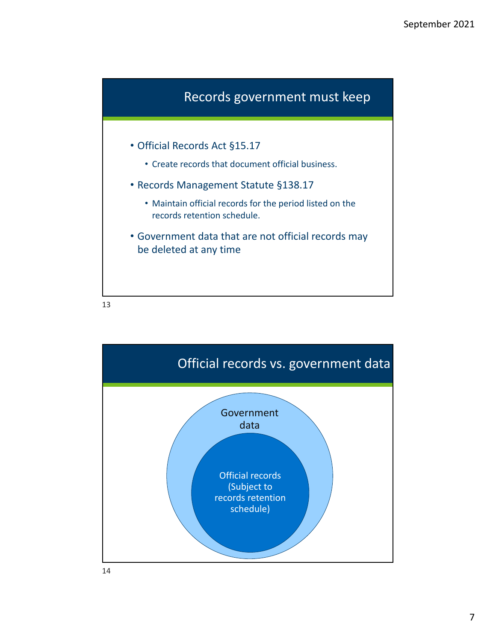

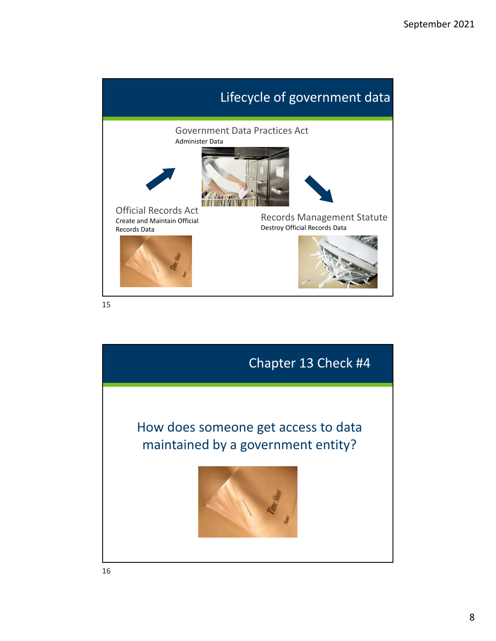

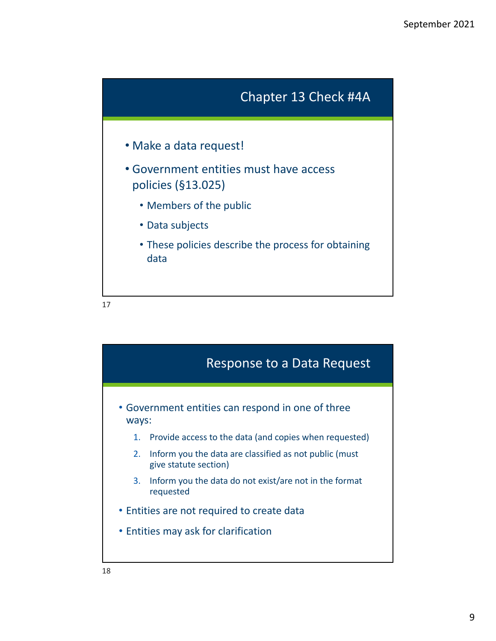

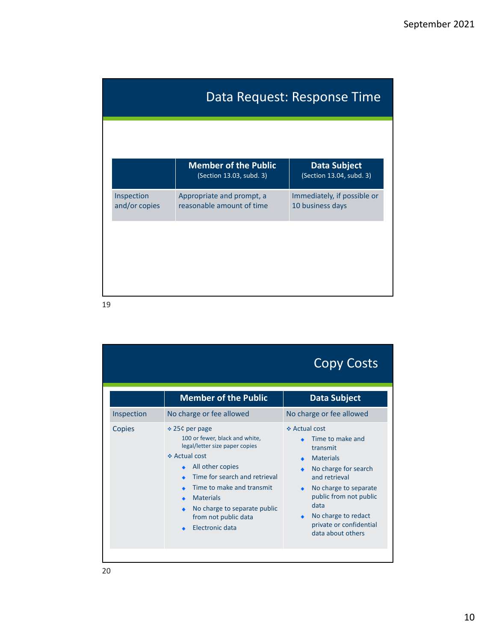| Data Request: Response Time |                                                         |                                                 |
|-----------------------------|---------------------------------------------------------|-------------------------------------------------|
|                             |                                                         |                                                 |
|                             | <b>Member of the Public</b><br>(Section 13.03, subd. 3) | <b>Data Subject</b><br>(Section 13.04, subd. 3) |
| Inspection<br>and/or copies | Appropriate and prompt, a<br>reasonable amount of time  | Immediately, if possible or<br>10 business days |
|                             |                                                         |                                                 |
|                             |                                                         |                                                 |
|                             |                                                         |                                                 |

|                      |                                                                                                                                                                                                                                                                                                                  | <b>Copy Costs</b>                                                                                                                                                                                                                                                             |
|----------------------|------------------------------------------------------------------------------------------------------------------------------------------------------------------------------------------------------------------------------------------------------------------------------------------------------------------|-------------------------------------------------------------------------------------------------------------------------------------------------------------------------------------------------------------------------------------------------------------------------------|
|                      | <b>Member of the Public</b>                                                                                                                                                                                                                                                                                      | <b>Data Subject</b>                                                                                                                                                                                                                                                           |
| Inspection<br>Copies | No charge or fee allowed<br>❖ 25¢ per page<br>100 or fewer, black and white,<br>legal/letter size paper copies<br>❖ Actual cost<br>All other copies<br>Time for search and retrieval<br>Time to make and transmit<br><b>Materials</b><br>No charge to separate public<br>from not public data<br>Electronic data | No charge or fee allowed<br>❖ Actual cost<br>Time to make and<br>transmit<br><b>Materials</b><br>No charge for search<br>and retrieval<br>No charge to separate<br>٠<br>public from not public<br>data<br>No charge to redact<br>private or confidential<br>data about others |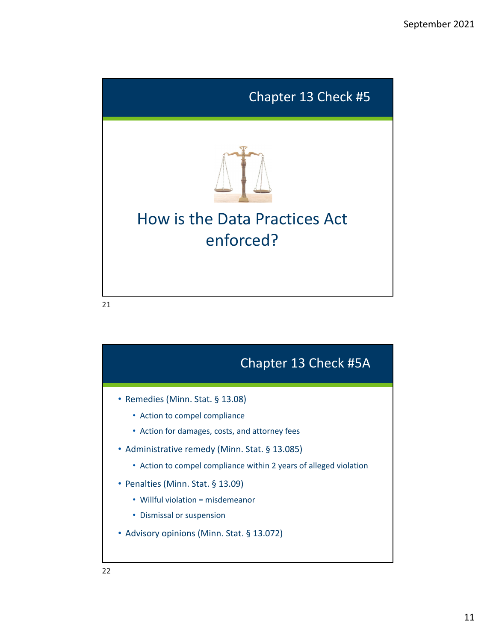

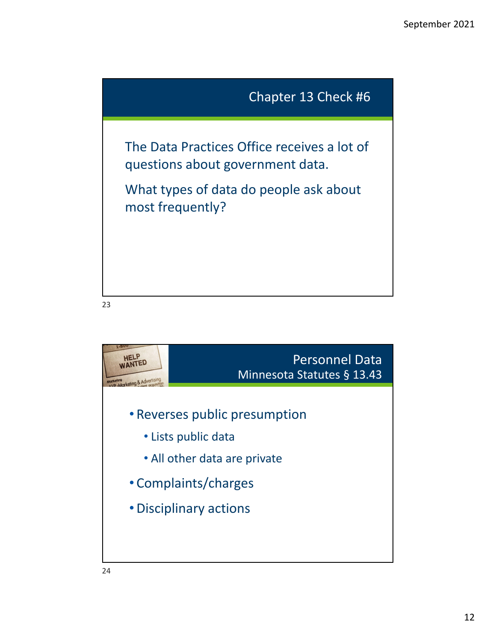

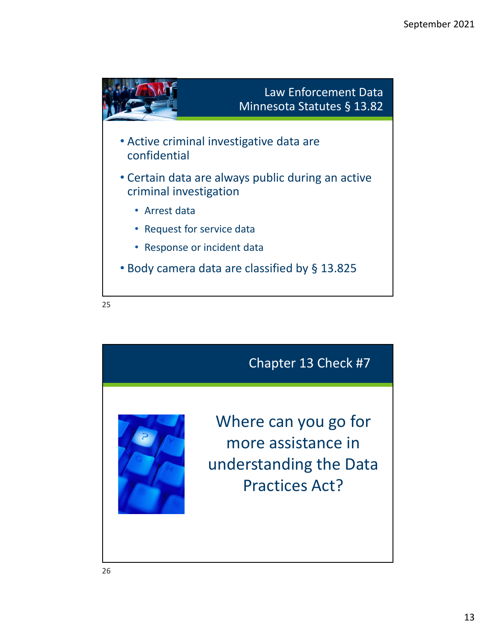

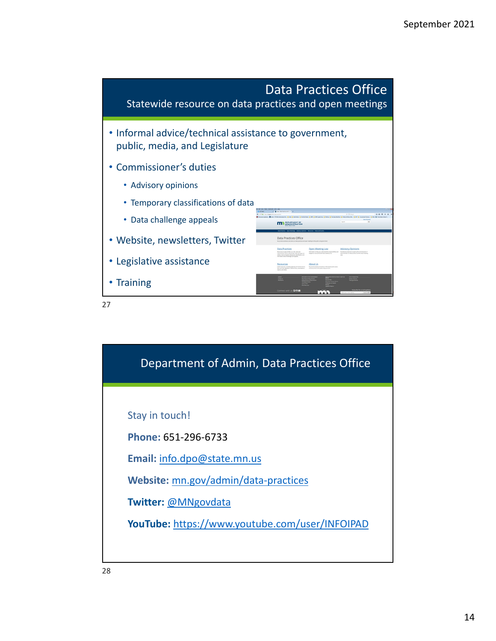